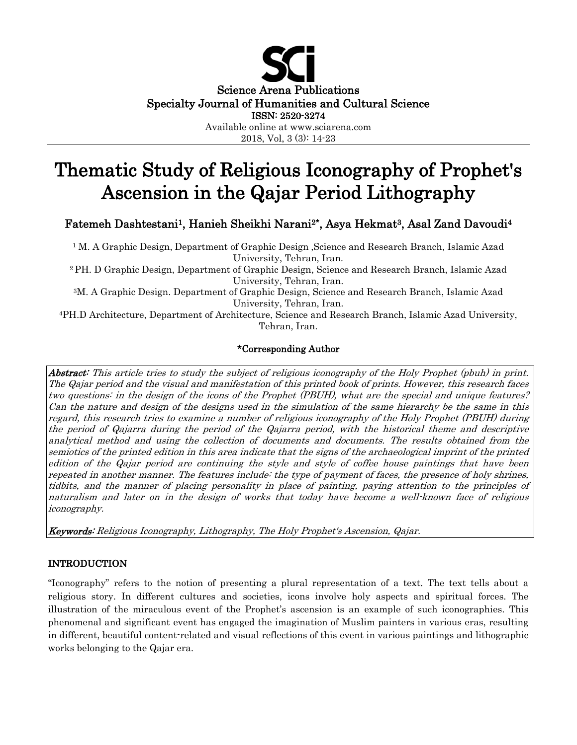

2018, Vol, 3 (3): 14-23

# Thematic Study of Religious Iconography of Prophet's Ascension in the Qajar Period Lithography

## Fatemeh Dashtestani<sup>1</sup>, Hanieh Sheikhi Narani<sup>2\*</sup>, Asya Hekmat<sup>3</sup>, Asal Zand Davoudi<sup>4</sup>

<sup>1</sup> M. A Graphic Design, Department of Graphic Design, Science and Research Branch, Islamic Azad University, Tehran, Iran.

2 PH. D Graphic Design, Department of Graphic Design, Science and Research Branch, Islamic Azad University, Tehran, Iran.

3M. A Graphic Design. Department of Graphic Design, Science and Research Branch, Islamic Azad University, Tehran, Iran.

4PH.D Architecture, Department of Architecture, Science and Research Branch, Islamic Azad University, Tehran, Iran.

#### \*Corresponding Author

Abstract: This article tries to study the subject of religious iconography of the Holy Prophet (pbuh) in print. The Qajar period and the visual and manifestation of this printed book of prints. However, this research faces two questions: in the design of the icons of the Prophet (PBUH), what are the special and unique features? Can the nature and design of the designs used in the simulation of the same hierarchy be the same in this regard, this research tries to examine a number of religious iconography of the Holy Prophet (PBUH) during the period of Qajarra during the period of the Qajarra period, with the historical theme and descriptive analytical method and using the collection of documents and documents. The results obtained from the semiotics of the printed edition in this area indicate that the signs of the archaeological imprint of the printed edition of the Qajar period are continuing the style and style of coffee house paintings that have been repeated in another manner. The features include: the type of payment of faces, the presence of holy shrines, tidbits, and the manner of placing personality in place of painting, paying attention to the principles of naturalism and later on in the design of works that today have become a well-known face of religious iconography.

Keywords: Religious Iconography, Lithography, The Holy Prophet's Ascension, Qajar.

## INTRODUCTION

"Iconography" refers to the notion of presenting a plural representation of a text. The text tells about a religious story. In different cultures and societies, icons involve holy aspects and spiritual forces. The illustration of the miraculous event of the Prophet's ascension is an example of such iconographies. This phenomenal and significant event has engaged the imagination of Muslim painters in various eras, resulting in different, beautiful content-related and visual reflections of this event in various paintings and lithographic works belonging to the Qajar era.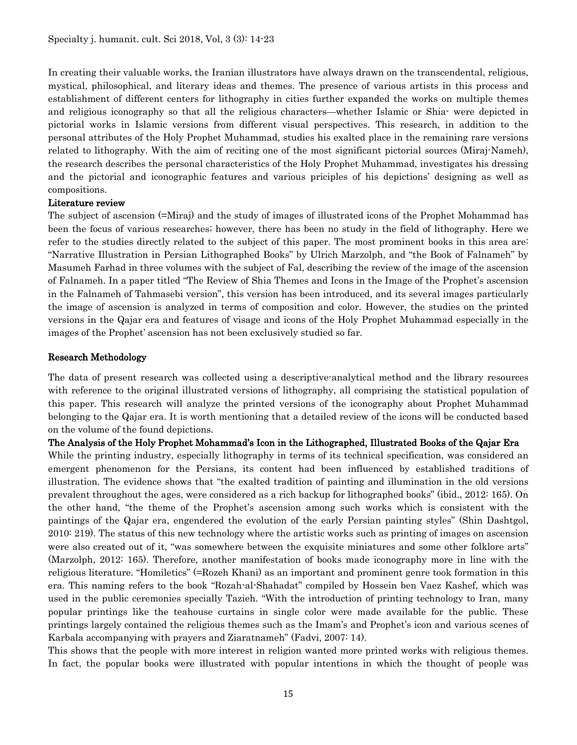In creating their valuable works, the Iranian illustrators have always drawn on the transcendental, religious, mystical, philosophical, and literary ideas and themes. The presence of various artists in this process and establishment of different centers for lithography in cities further expanded the works on multiple themes and religious iconography so that all the religious characters—whether Islamic or Shia- were depicted in pictorial works in Islamic versions from different visual perspectives. This research, in addition to the personal attributes of the Holy Prophet Muhammad, studies his exalted place in the remaining rare versions related to lithography. With the aim of reciting one of the most significant pictorial sources (Miraj-Nameh), the research describes the personal characteristics of the Holy Prophet Muhammad, investigates his dressing and the pictorial and iconographic features and various priciples of his depictions' designing as well as compositions.

#### Literature review

The subject of ascension (=Miraj) and the study of images of illustrated icons of the Prophet Mohammad has been the focus of various researches; however, there has been no study in the field of lithography. Here we refer to the studies directly related to the subject of this paper. The most prominent books in this area are: "Narrative Illustration in Persian Lithographed Books" by Ulrich Marzolph, and "the Book of Falnameh" by Masumeh Farhad in three volumes with the subject of Fal, describing the review of the image of the ascension of Falnameh. In a paper titled "The Review of Shia Themes and Icons in the Image of the Prophet's ascension in the Falnameh of Tahmasebi version", this version has been introduced, and its several images particularly the image of ascension is analyzed in terms of composition and color. However, the studies on the printed versions in the Qajar era and features of visage and icons of the Holy Prophet Muhammad especially in the images of the Prophet' ascension has not been exclusively studied so far.

### Research Methodology

The data of present research was collected using a descriptive-analytical method and the library resources with reference to the original illustrated versions of lithography, all comprising the statistical population of this paper. This research will analyze the printed versions of the iconography about Prophet Muhammad belonging to the Qajar era. It is worth mentioning that a detailed review of the icons will be conducted based on the volume of the found depictions.

The Analysis of the Holy Prophet Mohammad's Icon in the Lithographed, Illustrated Books of the Qajar Era While the printing industry, especially lithography in terms of its technical specification, was considered an emergent phenomenon for the Persians, its content had been influenced by established traditions of illustration. The evidence shows that "the exalted tradition of painting and illumination in the old versions prevalent throughout the ages, were considered as a rich backup for lithographed books" (ibid., 2012: 165). On the other hand, "the theme of the Prophet's ascension among such works which is consistent with the paintings of the Qajar era, engendered the evolution of the early Persian painting styles" (Shin Dashtgol, 2010: 219). The status of this new technology where the artistic works such as printing of images on ascension were also created out of it, "was somewhere between the exquisite miniatures and some other folklore arts" (Marzolph, 2012: 165). Therefore, another manifestation of books made iconography more in line with the religious literature. "Homiletics" (=Rozeh Khani) as an important and prominent genre took formation in this era. This naming refers to the book "Rozah-al-Shahadat" compiled by Hossein ben Vaez Kashef, which was used in the public ceremonies specially Tazieh. "With the introduction of printing technology to Iran, many popular printings like the teahouse curtains in single color were made available for the public. These printings largely contained the religious themes such as the Imam's and Prophet's icon and various scenes of Karbala accompanying with prayers and Ziaratnameh" (Fadvi, 2007: 14).

This shows that the people with more interest in religion wanted more printed works with religious themes. In fact, the popular books were illustrated with popular intentions in which the thought of people was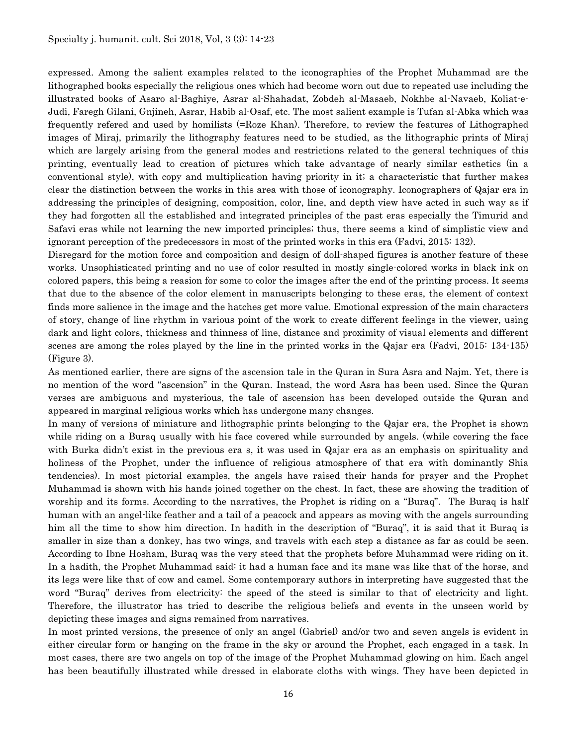expressed. Among the salient examples related to the iconographies of the Prophet Muhammad are the lithographed books especially the religious ones which had become worn out due to repeated use including the illustrated books of Asaro al-Baghiye, Asrar al-Shahadat, Zobdeh al-Masaeb, Nokhbe al-Navaeb, Koliat-e-Judi, Faregh Gilani, Gnjineh, Asrar, Habib al-Osaf, etc. The most salient example is Tufan al-Abka which was frequently refered and used by homilists (=Roze Khan). Therefore, to review the features of Lithographed images of Miraj, primarily the lithography features need to be studied, as the lithographic prints of Miraj which are largely arising from the general modes and restrictions related to the general techniques of this printing, eventually lead to creation of pictures which take advantage of nearly similar esthetics (in a conventional style), with copy and multiplication having priority in it; a characteristic that further makes clear the distinction between the works in this area with those of iconography. Iconographers of Qajar era in addressing the principles of designing, composition, color, line, and depth view have acted in such way as if they had forgotten all the established and integrated principles of the past eras especially the Timurid and Safavi eras while not learning the new imported principles; thus, there seems a kind of simplistic view and ignorant perception of the predecessors in most of the printed works in this era (Fadvi, 2015: 132).

Disregard for the motion force and composition and design of doll-shaped figures is another feature of these works. Unsophisticated printing and no use of color resulted in mostly single-colored works in black ink on colored papers, this being a reasion for some to color the images after the end of the printing process. It seems that due to the absence of the color element in manuscripts belonging to these eras, the element of context finds more salience in the image and the hatches get more value. Emotional expression of the main characters of story, change of line rhythm in various point of the work to create different feelings in the viewer, using dark and light colors, thickness and thinness of line, distance and proximity of visual elements and different scenes are among the roles played by the line in the printed works in the Qajar era (Fadvi, 2015: 134-135) (Figure 3).

As mentioned earlier, there are signs of the ascension tale in the Quran in Sura Asra and Najm. Yet, there is no mention of the word "ascension" in the Quran. Instead, the word Asra has been used. Since the Quran verses are ambiguous and mysterious, the tale of ascension has been developed outside the Quran and appeared in marginal religious works which has undergone many changes.

In many of versions of miniature and lithographic prints belonging to the Qajar era, the Prophet is shown while riding on a Buraq usually with his face covered while surrounded by angels. (while covering the face with Burka didn't exist in the previous era s, it was used in Qajar era as an emphasis on spirituality and holiness of the Prophet, under the influence of religious atmosphere of that era with dominantly Shia tendencies). In most pictorial examples, the angels have raised their hands for prayer and the Prophet Muhammad is shown with his hands joined together on the chest. In fact, these are showing the tradition of worship and its forms. According to the narratives, the Prophet is riding on a "Buraq". The Buraq is half human with an angel-like feather and a tail of a peacock and appears as moving with the angels surrounding him all the time to show him direction. In hadith in the description of "Buraq", it is said that it Buraq is smaller in size than a donkey, has two wings, and travels with each step a distance as far as could be seen. According to Ibne Hosham, Buraq was the very steed that the prophets before Muhammad were riding on it. In a hadith, the Prophet Muhammad said: it had a human face and its mane was like that of the horse, and its legs were like that of cow and camel. Some contemporary authors in interpreting have suggested that the word "Buraq" derives from electricity: the speed of the steed is similar to that of electricity and light. Therefore, the illustrator has tried to describe the religious beliefs and events in the unseen world by depicting these images and signs remained from narratives.

In most printed versions, the presence of only an angel (Gabriel) and/or two and seven angels is evident in either circular form or hanging on the frame in the sky or around the Prophet, each engaged in a task. In most cases, there are two angels on top of the image of the Prophet Muhammad glowing on him. Each angel has been beautifully illustrated while dressed in elaborate cloths with wings. They have been depicted in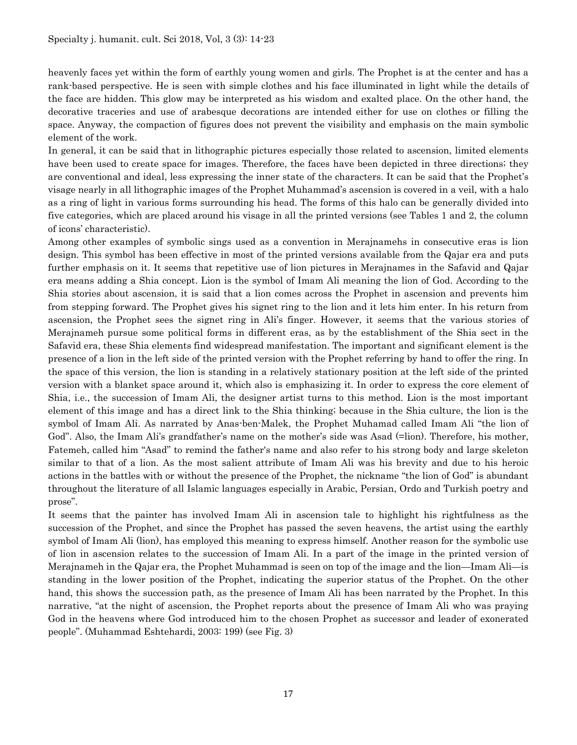heavenly faces yet within the form of earthly young women and girls. The Prophet is at the center and has a rank-based perspective. He is seen with simple clothes and his face illuminated in light while the details of the face are hidden. This glow may be interpreted as his wisdom and exalted place. On the other hand, the decorative traceries and use of arabesque decorations are intended either for use on clothes or filling the space. Anyway, the compaction of figures does not prevent the visibility and emphasis on the main symbolic element of the work.

In general, it can be said that in lithographic pictures especially those related to ascension, limited elements have been used to create space for images. Therefore, the faces have been depicted in three directions; they are conventional and ideal, less expressing the inner state of the characters. It can be said that the Prophet's visage nearly in all lithographic images of the Prophet Muhammad's ascension is covered in a veil, with a halo as a ring of light in various forms surrounding his head. The forms of this halo can be generally divided into five categories, which are placed around his visage in all the printed versions (see Tables 1 and 2, the column of icons' characteristic).

Among other examples of symbolic sings used as a convention in Merajnamehs in consecutive eras is lion design. This symbol has been effective in most of the printed versions available from the Qajar era and puts further emphasis on it. It seems that repetitive use of lion pictures in Merajnames in the Safavid and Qajar era means adding a Shia concept. Lion is the symbol of Imam Ali meaning the lion of God. According to the Shia stories about ascension, it is said that a lion comes across the Prophet in ascension and prevents him from stepping forward. The Prophet gives his signet ring to the lion and it lets him enter. In his return from ascension, the Prophet sees the signet ring in Ali's finger. However, it seems that the various stories of Merajnameh pursue some political forms in different eras, as by the establishment of the Shia sect in the Safavid era, these Shia elements find widespread manifestation. The important and significant element is the presence of a lion in the left side of the printed version with the Prophet referring by hand to offer the ring. In the space of this version, the lion is standing in a relatively stationary position at the left side of the printed version with a blanket space around it, which also is emphasizing it. In order to express the core element of Shia, i.e., the succession of Imam Ali, the designer artist turns to this method. Lion is the most important element of this image and has a direct link to the Shia thinking; because in the Shia culture, the lion is the symbol of Imam Ali. As narrated by Anas-ben-Malek, the Prophet Muhamad called Imam Ali "the lion of God". Also, the Imam Ali's grandfather's name on the mother's side was Asad (=lion). Therefore, his mother, Fatemeh, called him "Asad" to remind the father's name and also refer to his strong body and large skeleton similar to that of a lion. As the most salient attribute of Imam Ali was his brevity and due to his heroic actions in the battles with or without the presence of the Prophet, the nickname "the lion of God" is abundant throughout the literature of all Islamic languages especially in Arabic, Persian, Ordo and Turkish poetry and prose".

It seems that the painter has involved Imam Ali in ascension tale to highlight his rightfulness as the succession of the Prophet, and since the Prophet has passed the seven heavens, the artist using the earthly symbol of Imam Ali (lion), has employed this meaning to express himself. Another reason for the symbolic use of lion in ascension relates to the succession of Imam Ali. In a part of the image in the printed version of Merajnameh in the Qajar era, the Prophet Muhammad is seen on top of the image and the lion—Imam Ali—is standing in the lower position of the Prophet, indicating the superior status of the Prophet. On the other hand, this shows the succession path, as the presence of Imam Ali has been narrated by the Prophet. In this narrative, "at the night of ascension, the Prophet reports about the presence of Imam Ali who was praying God in the heavens where God introduced him to the chosen Prophet as successor and leader of exonerated people". (Muhammad Eshtehardi, 2003: 199) (see Fig. 3)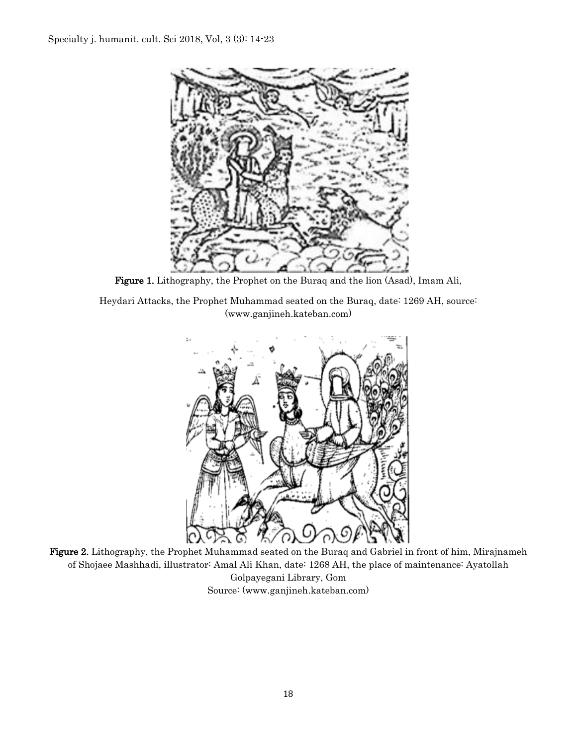

Figure 1. Lithography, the Prophet on the Buraq and the lion (Asad), Imam Ali,

Heydari Attacks, the Prophet Muhammad seated on the Buraq, date: 1269 AH, source: (www.ganjineh.kateban.com)



Figure 2. Lithography, the Prophet Muhammad seated on the Buraq and Gabriel in front of him, Mirajnameh of Shojaee Mashhadi, illustrator: Amal Ali Khan, date: 1268 AH, the place of maintenance: Ayatollah Golpayegani Library, Gom Source: [\(www.ganjineh.kateban.com\)](http://www.ganjineh.kateban.com/)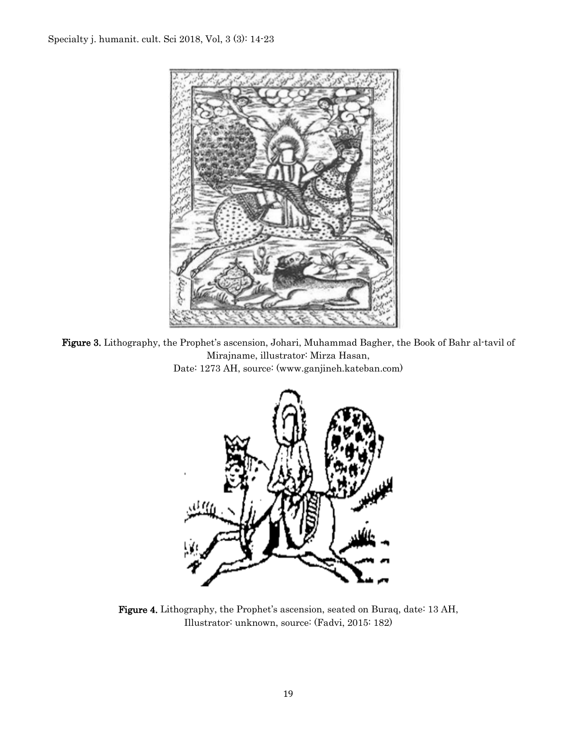

Figure 3. Lithography, the Prophet's ascension, Johari, Muhammad Bagher, the Book of Bahr al-tavil of Mirajname, illustrator: Mirza Hasan, Date: 1273 AH, source: [\(www.ganjineh.kateban.com\)](http://www.ganjineh.kateban.com/)



Figure 4. Lithography, the Prophet's ascension, seated on Buraq, date: 13 AH, Illustrator: unknown, source: (Fadvi, 2015: 182)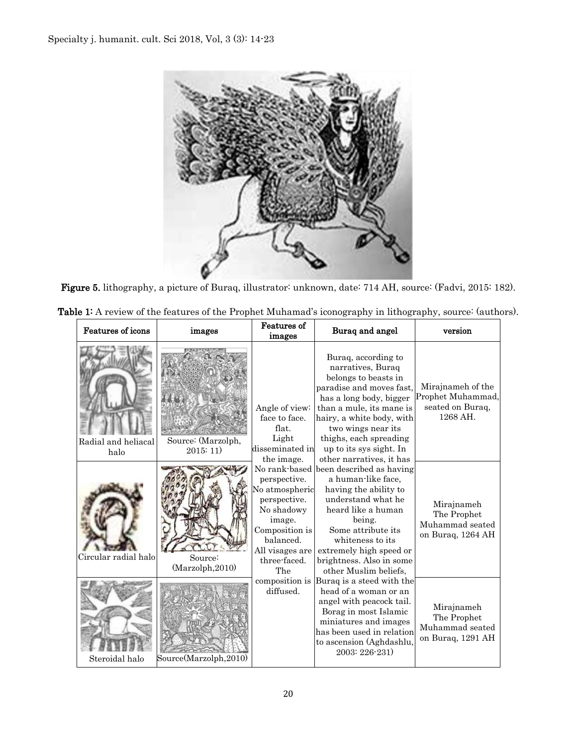

Figure 5. lithography, a picture of Buraq, illustrator: unknown, date: 714 AH, source: (Fadvi, 2015: 182).

| Table 1: A review of the features of the Prophet Muhamad's iconography in lithography, source: (authors). |
|-----------------------------------------------------------------------------------------------------------|
|-----------------------------------------------------------------------------------------------------------|

| Features of icons           | images                        | <b>Features of</b><br>images                                                                                                                    | Buraq and angel                                                                                                                                                                                                                                                                         | version                                                                |
|-----------------------------|-------------------------------|-------------------------------------------------------------------------------------------------------------------------------------------------|-----------------------------------------------------------------------------------------------------------------------------------------------------------------------------------------------------------------------------------------------------------------------------------------|------------------------------------------------------------------------|
| Radial and heliacal<br>halo | Source: (Marzolph,<br>2015:11 | Angle of view:<br>face to face.<br>flat.<br>Light<br>disseminated in<br>the image.                                                              | Buraq, according to<br>narratives, Buraq<br>belongs to beasts in<br>paradise and moves fast,<br>has a long body, bigger<br>than a mule, its mane is<br>hairy, a white body, with<br>two wings near its<br>thighs, each spreading<br>up to its sys sight. In<br>other narratives, it has | Mirajnameh of the<br>Prophet Muhammad,<br>seated on Buraq,<br>1268 AH. |
| Circular radial halo        | Source:<br>(Marzolph, 2010)   | perspective.<br>No atmospheric<br>perspective.<br>No shadowy<br>image.<br>Composition is<br>balanced.<br>All visages are<br>three-faced.<br>The | No rank-based been described as having<br>a human-like face,<br>having the ability to<br>understand what he<br>heard like a human<br>being.<br>Some attribute its<br>whiteness to its<br>extremely high speed or<br>brightness. Also in some<br>other Muslim beliefs,                   | Mirajnameh<br>The Prophet<br>Muhammad seated<br>on Buraq, 1264 AH      |
| Steroidal halo              | Source(Marzolph, 2010)        | diffused.                                                                                                                                       | composition is Buraq is a steed with the<br>head of a woman or an<br>angel with peacock tail.<br>Borag in most Islamic<br>miniatures and images<br>has been used in relation<br>to ascension (Aghdashlu,<br>2003: 226-231)                                                              | Mirajnameh<br>The Prophet<br>Muhammad seated<br>on Buraq, 1291 AH      |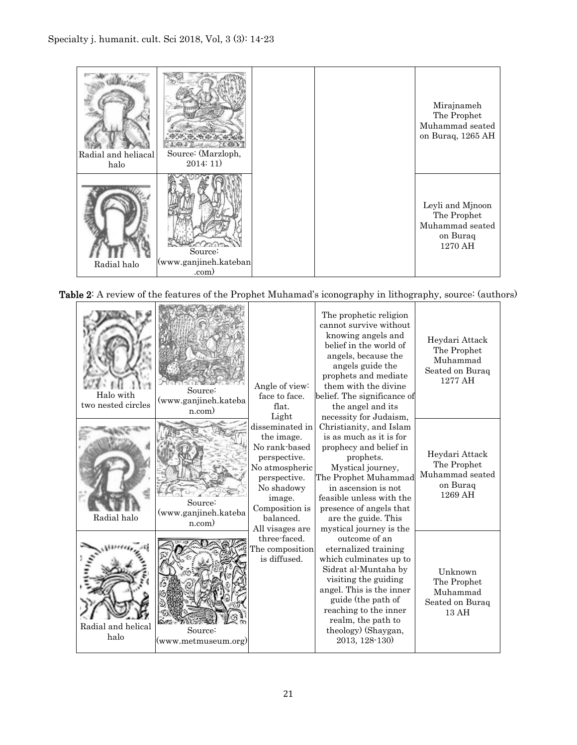

Table 2: A review of the features of the Prophet Muhamad's iconography in lithography, source: (authors)

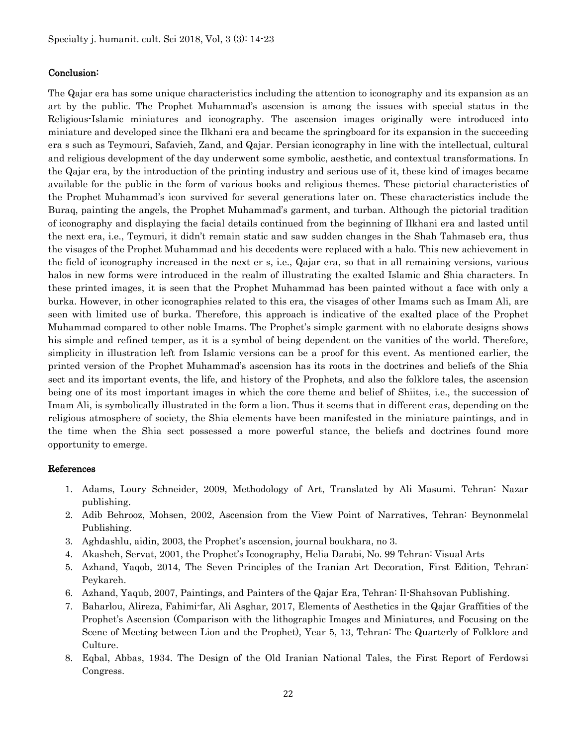#### Conclusion:

The Qajar era has some unique characteristics including the attention to iconography and its expansion as an art by the public. The Prophet Muhammad's ascension is among the issues with special status in the Religious-Islamic miniatures and iconography. The ascension images originally were introduced into miniature and developed since the Ilkhani era and became the springboard for its expansion in the succeeding era s such as Teymouri, Safavieh, Zand, and Qajar. Persian iconography in line with the intellectual, cultural and religious development of the day underwent some symbolic, aesthetic, and contextual transformations. In the Qajar era, by the introduction of the printing industry and serious use of it, these kind of images became available for the public in the form of various books and religious themes. These pictorial characteristics of the Prophet Muhammad's icon survived for several generations later on. These characteristics include the Buraq, painting the angels, the Prophet Muhammad's garment, and turban. Although the pictorial tradition of iconography and displaying the facial details continued from the beginning of Ilkhani era and lasted until the next era, i.e., Teymuri, it didn't remain static and saw sudden changes in the Shah Tahmaseb era, thus the visages of the Prophet Muhammad and his decedents were replaced with a halo. This new achievement in the field of iconography increased in the next er s, i.e., Qajar era, so that in all remaining versions, various halos in new forms were introduced in the realm of illustrating the exalted Islamic and Shia characters. In these printed images, it is seen that the Prophet Muhammad has been painted without a face with only a burka. However, in other iconographies related to this era, the visages of other Imams such as Imam Ali, are seen with limited use of burka. Therefore, this approach is indicative of the exalted place of the Prophet Muhammad compared to other noble Imams. The Prophet's simple garment with no elaborate designs shows his simple and refined temper, as it is a symbol of being dependent on the vanities of the world. Therefore, simplicity in illustration left from Islamic versions can be a proof for this event. As mentioned earlier, the printed version of the Prophet Muhammad's ascension has its roots in the doctrines and beliefs of the Shia sect and its important events, the life, and history of the Prophets, and also the folklore tales, the ascension being one of its most important images in which the core theme and belief of Shiites, i.e., the succession of Imam Ali, is symbolically illustrated in the form a lion. Thus it seems that in different eras, depending on the religious atmosphere of society, the Shia elements have been manifested in the miniature paintings, and in the time when the Shia sect possessed a more powerful stance, the beliefs and doctrines found more opportunity to emerge.

#### References

- 1. Adams, Loury Schneider, 2009, Methodology of Art, Translated by Ali Masumi. Tehran: Nazar publishing.
- 2. Adib Behrooz, Mohsen, 2002, Ascension from the View Point of Narratives, Tehran: Beynonmelal Publishing.
- 3. Aghdashlu, aidin, 2003, the Prophet's ascension, journal boukhara, no 3.
- 4. Akasheh, Servat, 2001, the Prophet's Iconography, Helia Darabi, No. 99 Tehran: Visual Arts
- 5. Azhand, Yaqob, 2014, The Seven Principles of the Iranian Art Decoration, First Edition, Tehran: Peykareh.
- 6. Azhand, Yaqub, 2007, Paintings, and Painters of the Qajar Era, Tehran: Il-Shahsovan Publishing.
- 7. Baharlou, Alireza, Fahimi-far, Ali Asghar, 2017, Elements of Aesthetics in the Qajar Graffities of the Prophet's Ascension (Comparison with the lithographic Images and Miniatures, and Focusing on the Scene of Meeting between Lion and the Prophet), Year 5, 13, Tehran: The Quarterly of Folklore and Culture.
- 8. Eqbal, Abbas, 1934. The Design of the Old Iranian National Tales, the First Report of Ferdowsi Congress.